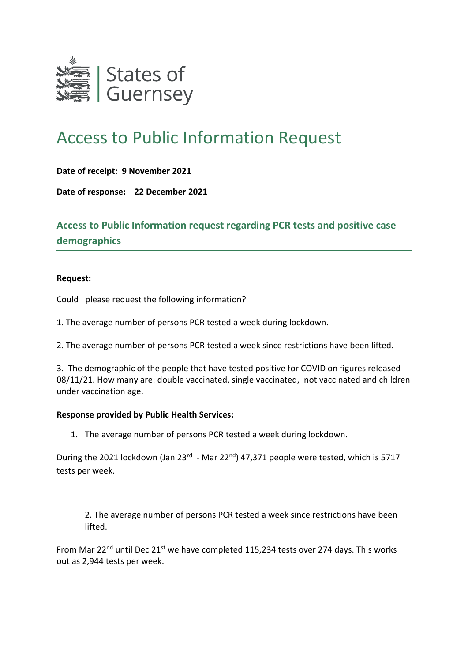

## Access to Public Information Request

**Date of receipt: 9 November 2021**

**Date of response: 22 December 2021**

**Access to Public Information request regarding PCR tests and positive case demographics**

## **Request:**

Could I please request the following information?

1. The average number of persons PCR tested a week during lockdown.

2. The average number of persons PCR tested a week since restrictions have been lifted.

3. The demographic of the people that have tested positive for COVID on figures released 08/11/21. How many are: double vaccinated, single vaccinated, not vaccinated and children under vaccination age.

## **Response provided by Public Health Services:**

1. The average number of persons PCR tested a week during lockdown.

During the 2021 lockdown (Jan 23<sup>rd</sup> - Mar 22<sup>nd</sup>) 47,371 people were tested, which is 5717 tests per week.

2. The average number of persons PCR tested a week since restrictions have been lifted.

From Mar 22<sup>nd</sup> until Dec 21<sup>st</sup> we have completed 115.234 tests over 274 days. This works out as 2,944 tests per week.